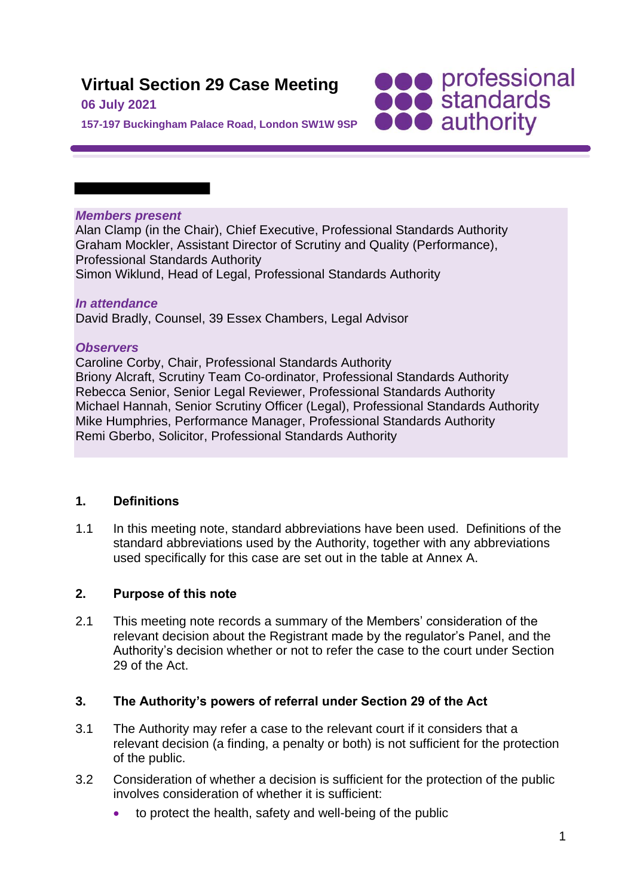# **Virtual Section 29 Case Meeting**

### **06 July 2021**

**SOO professional**<br> **SOO standards**<br> **OOO** authority

**157-197 Buckingham Palace Road, London SW1W 9SP**

#### *Members present*

Alan Clamp (in the Chair), Chief Executive, Professional Standards Authority Graham Mockler, Assistant Director of Scrutiny and Quality (Performance), Professional Standards Authority Simon Wiklund, Head of Legal, Professional Standards Authority

### *In attendance*

David Bradly, Counsel, 39 Essex Chambers, Legal Advisor

### *Observers*

Caroline Corby, Chair, Professional Standards Authority Briony Alcraft, Scrutiny Team Co-ordinator, Professional Standards Authority Rebecca Senior, Senior Legal Reviewer, Professional Standards Authority Michael Hannah, Senior Scrutiny Officer (Legal), Professional Standards Authority Mike Humphries, Performance Manager, Professional Standards Authority Remi Gberbo, Solicitor, Professional Standards Authority

# **1. Definitions**

1.1 In this meeting note, standard abbreviations have been used. Definitions of the standard abbreviations used by the Authority, together with any abbreviations used specifically for this case are set out in the table at Annex A.

# **2. Purpose of this note**

2.1 This meeting note records a summary of the Members' consideration of the relevant decision about the Registrant made by the regulator's Panel, and the Authority's decision whether or not to refer the case to the court under Section 29 of the Act.

# **3. The Authority's powers of referral under Section 29 of the Act**

- 3.1 The Authority may refer a case to the relevant court if it considers that a relevant decision (a finding, a penalty or both) is not sufficient for the protection of the public.
- 3.2 Consideration of whether a decision is sufficient for the protection of the public involves consideration of whether it is sufficient:
	- to protect the health, safety and well-being of the public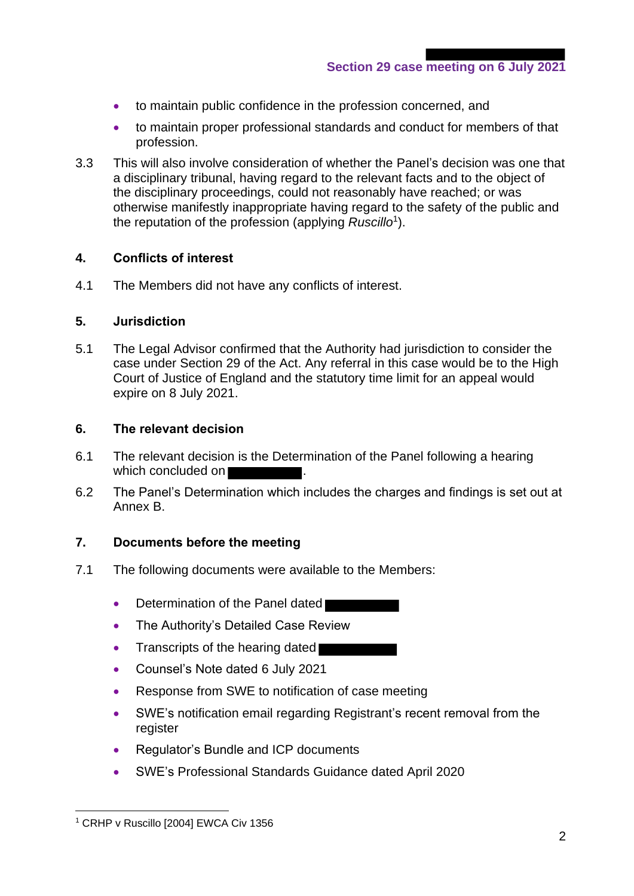**Section 29 case meeting on 6 July 2021**

- to maintain public confidence in the profession concerned, and
- to maintain proper professional standards and conduct for members of that profession.
- 3.3 This will also involve consideration of whether the Panel's decision was one that a disciplinary tribunal, having regard to the relevant facts and to the object of the disciplinary proceedings, could not reasonably have reached; or was otherwise manifestly inappropriate having regard to the safety of the public and the reputation of the profession (applying *Ruscillo*<sup>1</sup> ).

### **4. Conflicts of interest**

4.1 The Members did not have any conflicts of interest.

#### **5. Jurisdiction**

5.1 The Legal Advisor confirmed that the Authority had jurisdiction to consider the case under Section 29 of the Act. Any referral in this case would be to the High Court of Justice of England and the statutory time limit for an appeal would expire on 8 July 2021.

### **6. The relevant decision**

- 6.1 The relevant decision is the Determination of the Panel following a hearing which concluded on
- 6.2 The Panel's Determination which includes the charges and findings is set out at Annex B.

# **7. Documents before the meeting**

- 7.1 The following documents were available to the Members:
	- Determination of the Panel dated
	- The Authority's Detailed Case Review
	- Transcripts of the hearing dated
	- Counsel's Note dated 6 July 2021
	- Response from SWE to notification of case meeting
	- SWE's notification email regarding Registrant's recent removal from the register
	- Regulator's Bundle and ICP documents
	- SWE's Professional Standards Guidance dated April 2020

<sup>&</sup>lt;sup>1</sup> CRHP v Ruscillo [2004] EWCA Civ 1356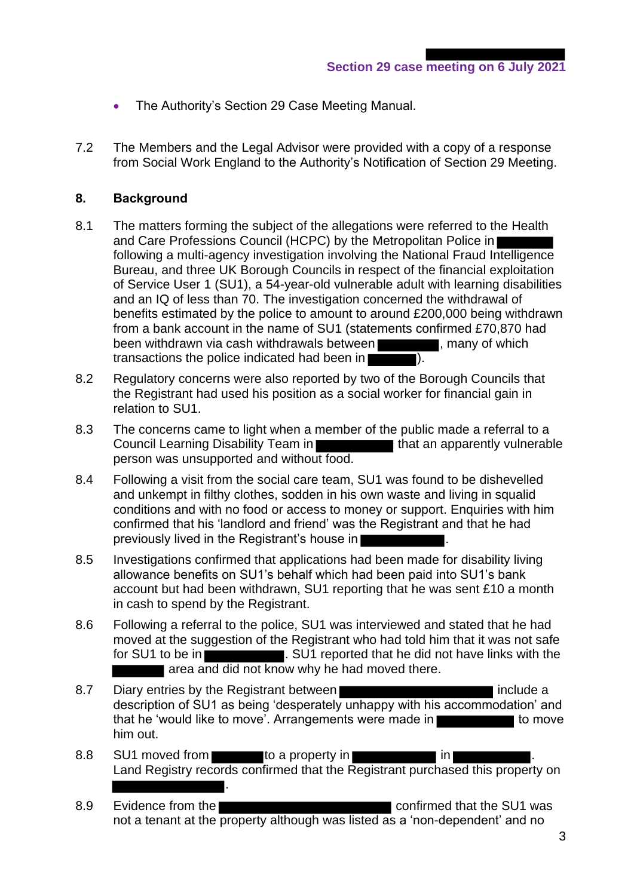- The Authority's Section 29 Case Meeting Manual.
- 7.2 The Members and the Legal Advisor were provided with a copy of a response from Social Work England to the Authority's Notification of Section 29 Meeting.

#### **8. Background**

- 8.1 The matters forming the subject of the allegations were referred to the Health and Care Professions Council (HCPC) by the Metropolitan Police in following a multi-agency investigation involving the National Fraud Intelligence Bureau, and three UK Borough Councils in respect of the financial exploitation of Service User 1 (SU1), a 54-year-old vulnerable adult with learning disabilities and an IQ of less than 70. The investigation concerned the withdrawal of benefits estimated by the police to amount to around £200,000 being withdrawn from a bank account in the name of SU1 (statements confirmed £70,870 had been withdrawn via cash withdrawals between , many of which transactions the police indicated had been in ).
- 8.2 Regulatory concerns were also reported by two of the Borough Councils that the Registrant had used his position as a social worker for financial gain in relation to SU1.
- 8.3 The concerns came to light when a member of the public made a referral to a Council Learning Disability Team in **that an apparently vulnerable** person was unsupported and without food.
- 8.4 Following a visit from the social care team, SU1 was found to be dishevelled and unkempt in filthy clothes, sodden in his own waste and living in squalid conditions and with no food or access to money or support. Enquiries with him confirmed that his 'landlord and friend' was the Registrant and that he had previously lived in the Registrant's house in
- 8.5 Investigations confirmed that applications had been made for disability living allowance benefits on SU1's behalf which had been paid into SU1's bank account but had been withdrawn, SU1 reporting that he was sent £10 a month in cash to spend by the Registrant.
- 8.6 Following a referral to the police, SU1 was interviewed and stated that he had moved at the suggestion of the Registrant who had told him that it was not safe for SU1 to be in **EXECUTE:** SU1 reported that he did not have links with the area and did not know why he had moved there.
- 8.7 Diary entries by the Registrant between **include a** include a description of SU1 as being 'desperately unhappy with his accommodation' and that he 'would like to move'. Arrangements were made in him out.
- 8.8 SU1 moved from to a property in the state of  $\sim$  10 km s in  $\sim$ Land Registry records confirmed that the Registrant purchased this property on .
- 8.9 Evidence from the confirmed that the SU1 was not a tenant at the property although was listed as a 'non-dependent' and no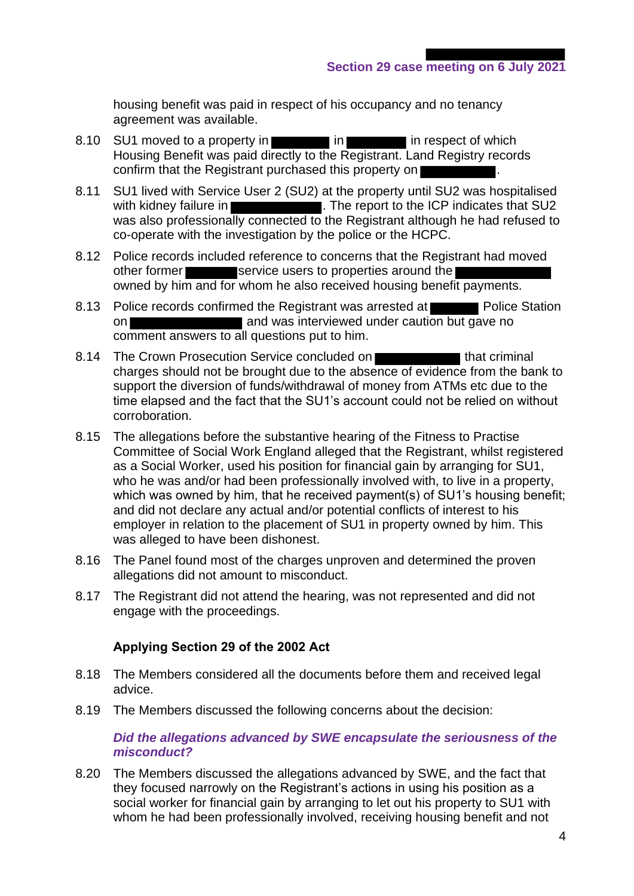housing benefit was paid in respect of his occupancy and no tenancy agreement was available.

- 8.10 SU1 moved to a property in in in in in in respect of which Housing Benefit was paid directly to the Registrant. Land Registry records confirm that the Registrant purchased this property on
- 8.11 SU1 lived with Service User 2 (SU2) at the property until SU2 was hospitalised with kidney failure in **The report to the ICP** indicates that SU2 was also professionally connected to the Registrant although he had refused to co-operate with the investigation by the police or the HCPC.
- 8.12 Police records included reference to concerns that the Registrant had moved other former service users to properties around the owned by him and for whom he also received housing benefit payments.
- 8.13 Police records confirmed the Registrant was arrested at Police Station on **and was interviewed under caution but gave no** comment answers to all questions put to him.
- 8.14 The Crown Prosecution Service concluded on the state of that criminal charges should not be brought due to the absence of evidence from the bank to support the diversion of funds/withdrawal of money from ATMs etc due to the time elapsed and the fact that the SU1's account could not be relied on without corroboration.
- 8.15 The allegations before the substantive hearing of the Fitness to Practise Committee of Social Work England alleged that the Registrant, whilst registered as a Social Worker, used his position for financial gain by arranging for SU1, who he was and/or had been professionally involved with, to live in a property, which was owned by him, that he received payment(s) of SU1's housing benefit; and did not declare any actual and/or potential conflicts of interest to his employer in relation to the placement of SU1 in property owned by him. This was alleged to have been dishonest.
- 8.16 The Panel found most of the charges unproven and determined the proven allegations did not amount to misconduct.
- 8.17 The Registrant did not attend the hearing, was not represented and did not engage with the proceedings.

#### **Applying Section 29 of the 2002 Act**

- 8.18 The Members considered all the documents before them and received legal advice.
- 8.19 The Members discussed the following concerns about the decision:

#### *Did the allegations advanced by SWE encapsulate the seriousness of the misconduct?*

8.20 The Members discussed the allegations advanced by SWE, and the fact that they focused narrowly on the Registrant's actions in using his position as a social worker for financial gain by arranging to let out his property to SU1 with whom he had been professionally involved, receiving housing benefit and not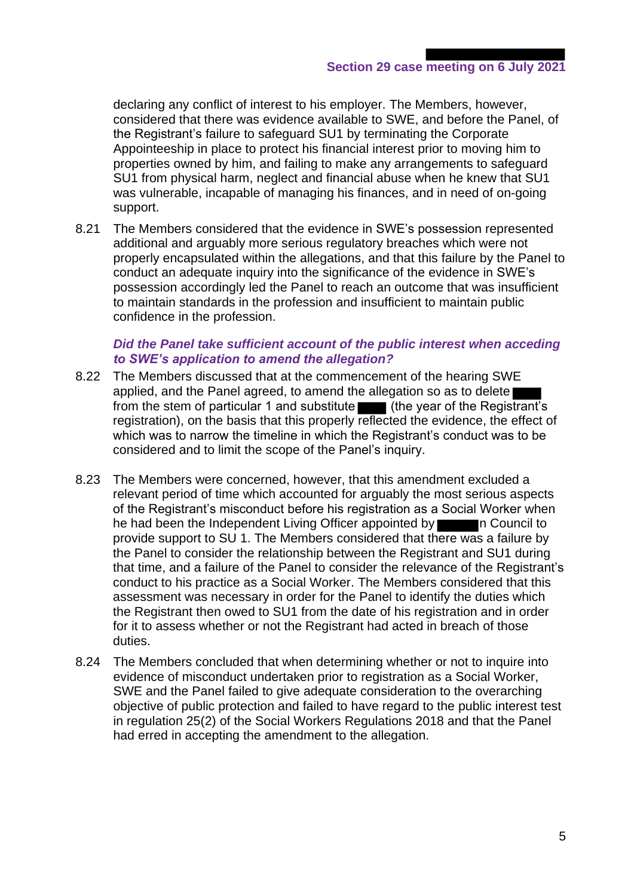declaring any conflict of interest to his employer. The Members, however, considered that there was evidence available to SWE, and before the Panel, of the Registrant's failure to safeguard SU1 by terminating the Corporate Appointeeship in place to protect his financial interest prior to moving him to properties owned by him, and failing to make any arrangements to safeguard SU1 from physical harm, neglect and financial abuse when he knew that SU1 was vulnerable, incapable of managing his finances, and in need of on-going support.

8.21 The Members considered that the evidence in SWE's possession represented additional and arguably more serious regulatory breaches which were not properly encapsulated within the allegations, and that this failure by the Panel to conduct an adequate inquiry into the significance of the evidence in SWE's possession accordingly led the Panel to reach an outcome that was insufficient to maintain standards in the profession and insufficient to maintain public confidence in the profession.

#### *Did the Panel take sufficient account of the public interest when acceding to SWE's application to amend the allegation?*

- 8.22 The Members discussed that at the commencement of the hearing SWE applied, and the Panel agreed, to amend the allegation so as to delete from the stem of particular 1 and substitute (the year of the Registrant's registration), on the basis that this properly reflected the evidence, the effect of which was to narrow the timeline in which the Registrant's conduct was to be considered and to limit the scope of the Panel's inquiry.
- 8.23 The Members were concerned, however, that this amendment excluded a relevant period of time which accounted for arguably the most serious aspects of the Registrant's misconduct before his registration as a Social Worker when he had been the Independent Living Officer appointed by network of Council to provide support to SU 1. The Members considered that there was a failure by the Panel to consider the relationship between the Registrant and SU1 during that time, and a failure of the Panel to consider the relevance of the Registrant's conduct to his practice as a Social Worker. The Members considered that this assessment was necessary in order for the Panel to identify the duties which the Registrant then owed to SU1 from the date of his registration and in order for it to assess whether or not the Registrant had acted in breach of those duties.
- 8.24 The Members concluded that when determining whether or not to inquire into evidence of misconduct undertaken prior to registration as a Social Worker, SWE and the Panel failed to give adequate consideration to the overarching objective of public protection and failed to have regard to the public interest test in regulation 25(2) of the Social Workers Regulations 2018 and that the Panel had erred in accepting the amendment to the allegation.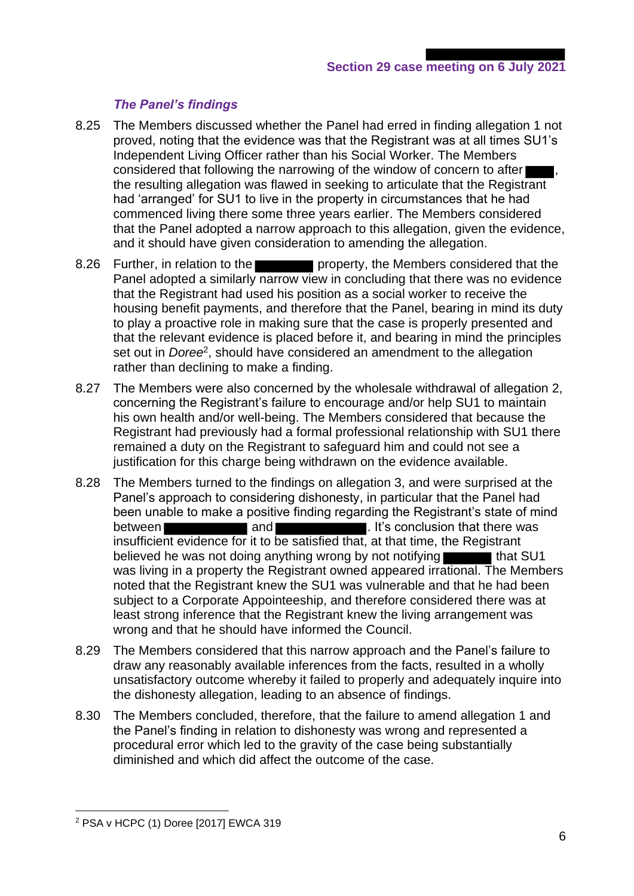# *The Panel's findings*

- 8.25 The Members discussed whether the Panel had erred in finding allegation 1 not proved, noting that the evidence was that the Registrant was at all times SU1's Independent Living Officer rather than his Social Worker. The Members considered that following the narrowing of the window of concern to after the resulting allegation was flawed in seeking to articulate that the Registrant had 'arranged' for SU1 to live in the property in circumstances that he had commenced living there some three years earlier. The Members considered that the Panel adopted a narrow approach to this allegation, given the evidence, and it should have given consideration to amending the allegation.
- 8.26 Further, in relation to the property, the Members considered that the Panel adopted a similarly narrow view in concluding that there was no evidence that the Registrant had used his position as a social worker to receive the housing benefit payments, and therefore that the Panel, bearing in mind its duty to play a proactive role in making sure that the case is properly presented and that the relevant evidence is placed before it, and bearing in mind the principles set out in *Doree*<sup>2</sup>, should have considered an amendment to the allegation rather than declining to make a finding.
- 8.27 The Members were also concerned by the wholesale withdrawal of allegation 2, concerning the Registrant's failure to encourage and/or help SU1 to maintain his own health and/or well-being. The Members considered that because the Registrant had previously had a formal professional relationship with SU1 there remained a duty on the Registrant to safeguard him and could not see a justification for this charge being withdrawn on the evidence available.
- 8.28 The Members turned to the findings on allegation 3, and were surprised at the Panel's approach to considering dishonesty, in particular that the Panel had been unable to make a positive finding regarding the Registrant's state of mind between **and and the set of the set of the set of the set of the set of the set of the set of the set of the set of the set of the set of the set of the set of the set of the set of the set of the set of the set of the set** insufficient evidence for it to be satisfied that, at that time, the Registrant believed he was not doing anything wrong by not notifying that SU1 was living in a property the Registrant owned appeared irrational. The Members noted that the Registrant knew the SU1 was vulnerable and that he had been subject to a Corporate Appointeeship, and therefore considered there was at least strong inference that the Registrant knew the living arrangement was wrong and that he should have informed the Council.
- 8.29 The Members considered that this narrow approach and the Panel's failure to draw any reasonably available inferences from the facts, resulted in a wholly unsatisfactory outcome whereby it failed to properly and adequately inquire into the dishonesty allegation, leading to an absence of findings.
- 8.30 The Members concluded, therefore, that the failure to amend allegation 1 and the Panel's finding in relation to dishonesty was wrong and represented a procedural error which led to the gravity of the case being substantially diminished and which did affect the outcome of the case.

<sup>2</sup> PSA v HCPC (1) Doree [2017] EWCA 319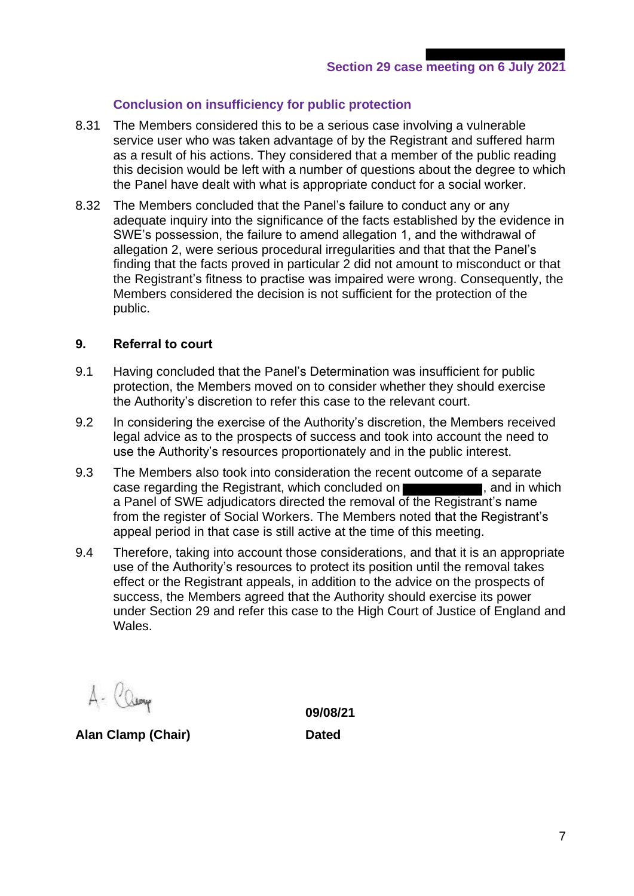# **Conclusion on insufficiency for public protection**

- 8.31 The Members considered this to be a serious case involving a vulnerable service user who was taken advantage of by the Registrant and suffered harm as a result of his actions. They considered that a member of the public reading this decision would be left with a number of questions about the degree to which the Panel have dealt with what is appropriate conduct for a social worker.
- 8.32 The Members concluded that the Panel's failure to conduct any or any adequate inquiry into the significance of the facts established by the evidence in SWE's possession, the failure to amend allegation 1, and the withdrawal of allegation 2, were serious procedural irregularities and that that the Panel's finding that the facts proved in particular 2 did not amount to misconduct or that the Registrant's fitness to practise was impaired were wrong. Consequently, the Members considered the decision is not sufficient for the protection of the public.

### **9. Referral to court**

- 9.1 Having concluded that the Panel's Determination was insufficient for public protection, the Members moved on to consider whether they should exercise the Authority's discretion to refer this case to the relevant court.
- 9.2 In considering the exercise of the Authority's discretion, the Members received legal advice as to the prospects of success and took into account the need to use the Authority's resources proportionately and in the public interest.
- 9.3 The Members also took into consideration the recent outcome of a separate case regarding the Registrant, which concluded on **the case regarding the Registrant**, which a Panel of SWE adjudicators directed the removal of the Registrant's name from the register of Social Workers. The Members noted that the Registrant's appeal period in that case is still active at the time of this meeting.
- 9.4 Therefore, taking into account those considerations, and that it is an appropriate use of the Authority's resources to protect its position until the removal takes effect or the Registrant appeals, in addition to the advice on the prospects of success, the Members agreed that the Authority should exercise its power under Section 29 and refer this case to the High Court of Justice of England and Wales.

alemp

**Alan Clamp (Chair) Dated**

**09/08/21**